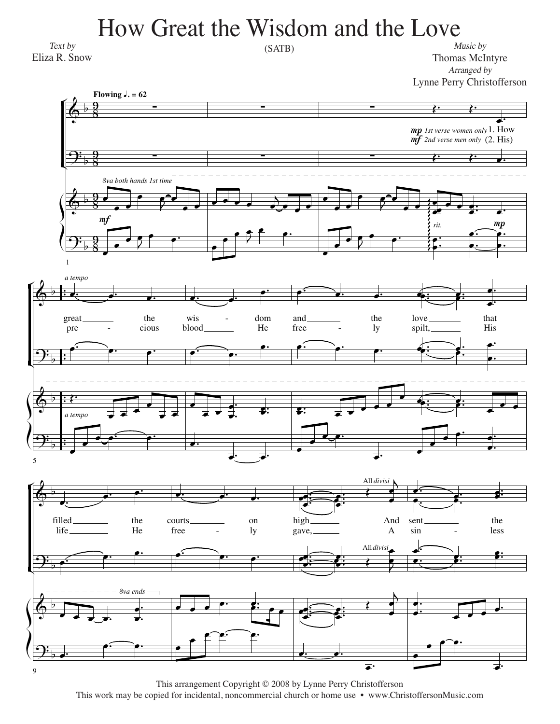## How Great the Wisdom and the Love

Text by Eliza R. Snow

 $(SATB)$ 

Music by Thomas McIntyre Arranged by Lynne Perry Christofferson



This arrangement Copyright © 2008 by Lynne Perry Christofferson This work may be copied for incidental, noncommercial church or home use • www.ChristoffersonMusic.com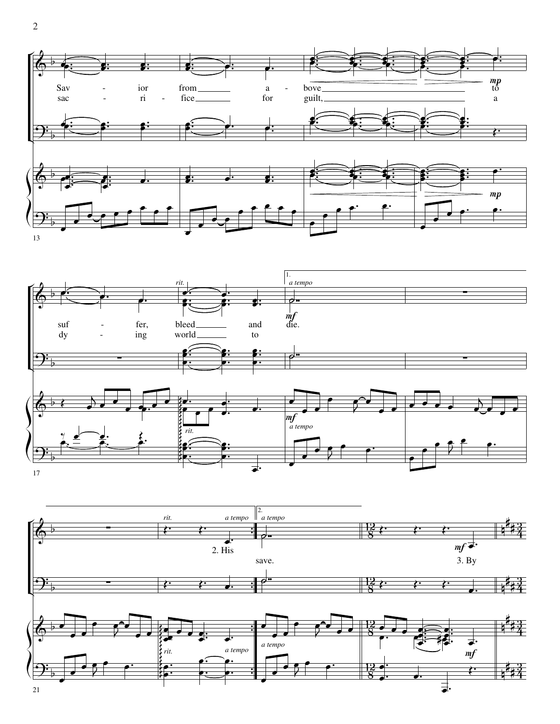



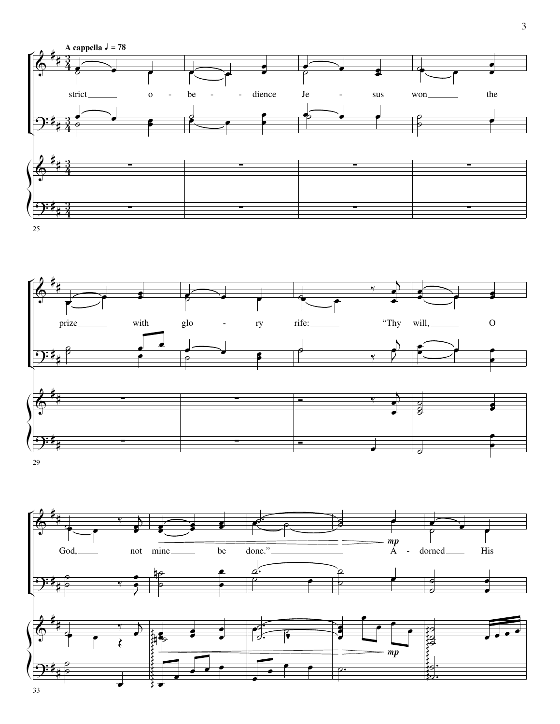



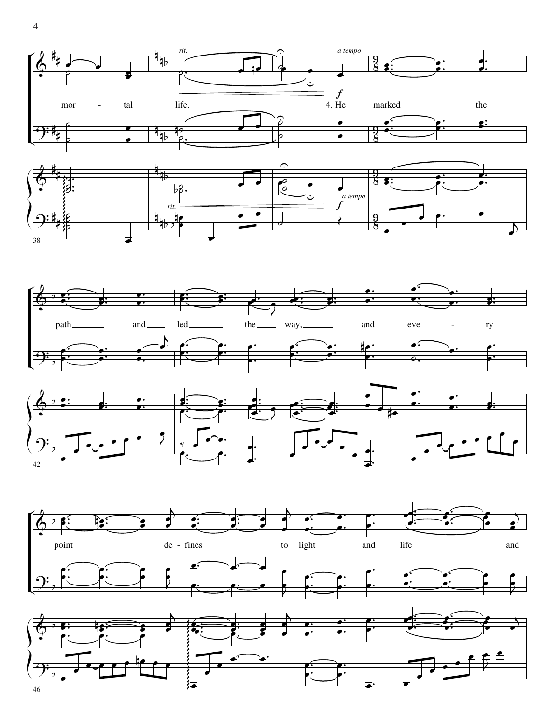